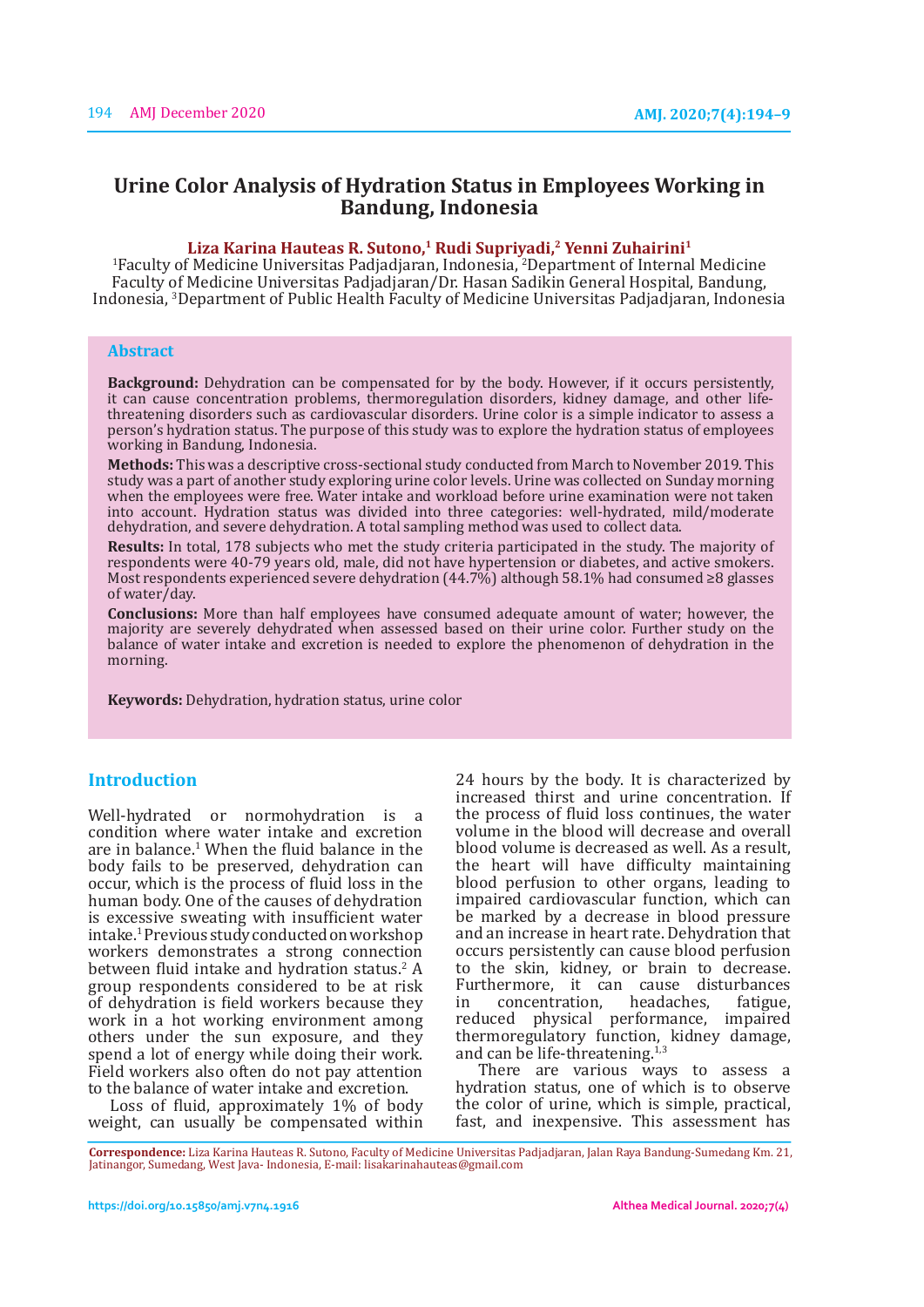# **Urine Color Analysis of Hydration Status in Employees Working in Bandung, Indonesia**

### **Liza Karina Hauteas R. Sutono,1 Rudi Supriyadi,2 Yenni Zuhairini1**

1 Faculty of Medicine Universitas Padjadjaran, Indonesia, <sup>2</sup> Department of Internal Medicine Faculty of Medicine Universitas Padjadjaran/Dr. Hasan Sadikin General Hospital, Bandung, Indonesia, <sup>3</sup>Department of Public Health Faculty of Medicine Universitas Padjadjaran, Indonesia

#### **Abstract**

**Background:** Dehydration can be compensated for by the body. However, if it occurs persistently, it can cause concentration problems, thermoregulation disorders, kidney damage, and other lifethreatening disorders such as cardiovascular disorders. Urine color is a simple indicator to assess a person's hydration status. The purpose of this study was to explore the hydration status of employees working in Bandung, Indonesia.

**Methods:** This was a descriptive cross-sectional study conducted from March to November 2019. This study was a part of another study exploring urine color levels. Urine was collected on Sunday morning when the employees were free. Water intake and workload before urine examination were not taken into account. Hydration status was divided into three categories: well-hydrated, mild/moderate dehydration, and severe dehydration. A total sampling method was used to collect data.

**Results:** In total, 178 subjects who met the study criteria participated in the study. The majority of respondents were 40-79 years old, male, did not have hypertension or diabetes, and active smokers. Most respondents experienced severe dehydration  $(44.7\%)$  although 58.1% had consumed ≥8 glasses of water/day.

**Conclusions:** More than half employees have consumed adequate amount of water; however, the majority are severely dehydrated when assessed based on their urine color. Further study on the balance of water intake and excretion is needed to explore the phenomenon of dehydration in the morning.

**Keywords:** Dehydration, hydration status, urine color

### **Introduction**

Well-hydrated or normohydration is a condition where water intake and excretion are in balance.1 When the fluid balance in the body fails to be preserved, dehydration can occur, which is the process of fluid loss in the human body. One of the causes of dehydration is excessive sweating with insufficient water intake.1 Previous study conducted on workshop workers demonstrates a strong connection between fluid intake and hydration status.<sup>2</sup> A group respondents considered to be at risk of dehydration is field workers because they work in a hot working environment among others under the sun exposure, and they spend a lot of energy while doing their work. Field workers also often do not pay attention to the balance of water intake and excretion.

Loss of fluid, approximately 1% of body weight, can usually be compensated within 24 hours by the body. It is characterized by increased thirst and urine concentration. If the process of fluid loss continues, the water volume in the blood will decrease and overall blood volume is decreased as well. As a result, the heart will have difficulty maintaining blood perfusion to other organs, leading to impaired cardiovascular function, which can be marked by a decrease in blood pressure and an increase in heart rate. Dehydration that occurs persistently can cause blood perfusion to the skin, kidney, or brain to decrease. Furthermore, it can cause disturbances<br>in concentration. headaches. fatigue. concentration, reduced physical performance, impaired thermoregulatory function, kidney damage, and can be life-threatening. $1,3$ 

There are various ways to assess a hydration status, one of which is to observe the color of urine, which is simple, practical, fast, and inexpensive. This assessment has

**Correspondence:** Liza Karina Hauteas R. Sutono, Faculty of Medicine Universitas Padjadjaran, Jalan Raya Bandung-Sumedang Km. 21, Jatinangor, Sumedang, West Java- Indonesia, E-mail: lisakarinahauteas@gmail.com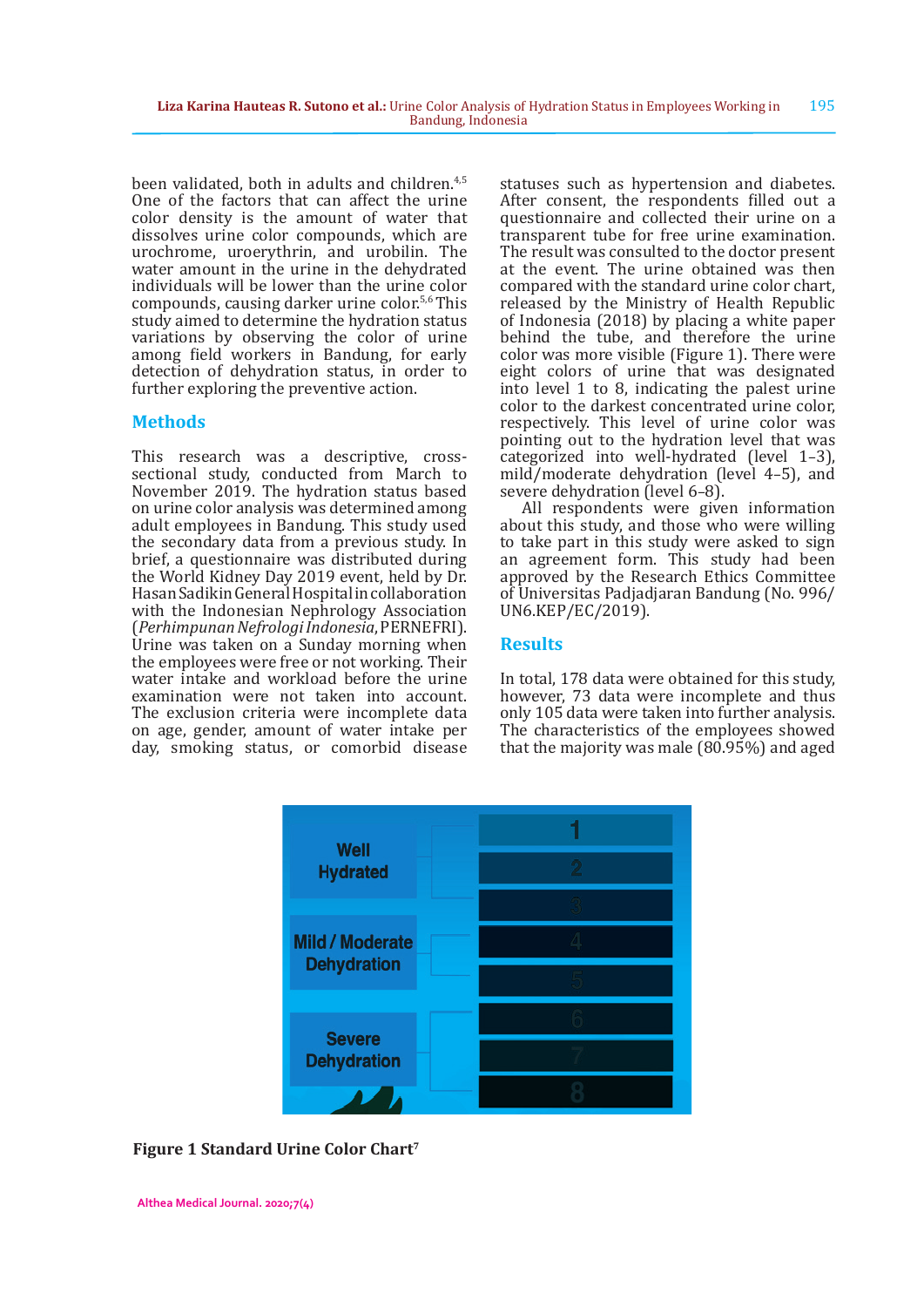been validated, both in adults and children.4,5 One of the factors that can affect the urine color density is the amount of water that dissolves urine color compounds, which are urochrome, uroerythrin, and urobilin. The water amount in the urine in the dehydrated individuals will be lower than the urine color compounds, causing darker urine color.<sup>5,6</sup> This study aimed to determine the hydration status variations by observing the color of urine among field workers in Bandung, for early detection of dehydration status, in order to further exploring the preventive action.

# **Methods**

This research was a descriptive, crosssectional study, conducted from March to November 2019. The hydration status based on urine color analysis was determined among adult employees in Bandung. This study used the secondary data from a previous study. In brief, a questionnaire was distributed during the World Kidney Day 2019 event, held by Dr. Hasan Sadikin General Hospital in collaboration with the Indonesian Nephrology Association (*Perhimpunan Nefrologi Indonesia*, PERNEFRI). Urine was taken on a Sunday morning when the employees were free or not working. Their water intake and workload before the urine examination were not taken into account. The exclusion criteria were incomplete data on age, gender, amount of water intake per day, smoking status, or comorbid disease

statuses such as hypertension and diabetes. After consent, the respondents filled out a questionnaire and collected their urine on a transparent tube for free urine examination. The result was consulted to the doctor present at the event. The urine obtained was then compared with the standard urine color chart, released by the Ministry of Health Republic of Indonesia (2018) by placing a white paper behind the tube, and therefore the urine color was more visible (Figure 1). There were eight colors of urine that was designated into level 1 to 8, indicating the palest urine color to the darkest concentrated urine color, respectively. This level of urine color was pointing out to the hydration level that was categorized into well-hydrated (level 1–3), mild/moderate dehydration (level 4–5), and severe dehydration (level 6–8).

All respondents were given information about this study, and those who were willing to take part in this study were asked to sign an agreement form. This study had been approved by the Research Ethics Committee of Universitas Padjadjaran Bandung (No. 996/ UN6.KEP/EC/2019).

# **Results**

In total, 178 data were obtained for this study, however, 73 data were incomplete and thus only 105 data were taken into further analysis. The characteristics of the employees showed that the majority was male (80.95%) and aged



**Figure 1 Standard Urine Color Chart7**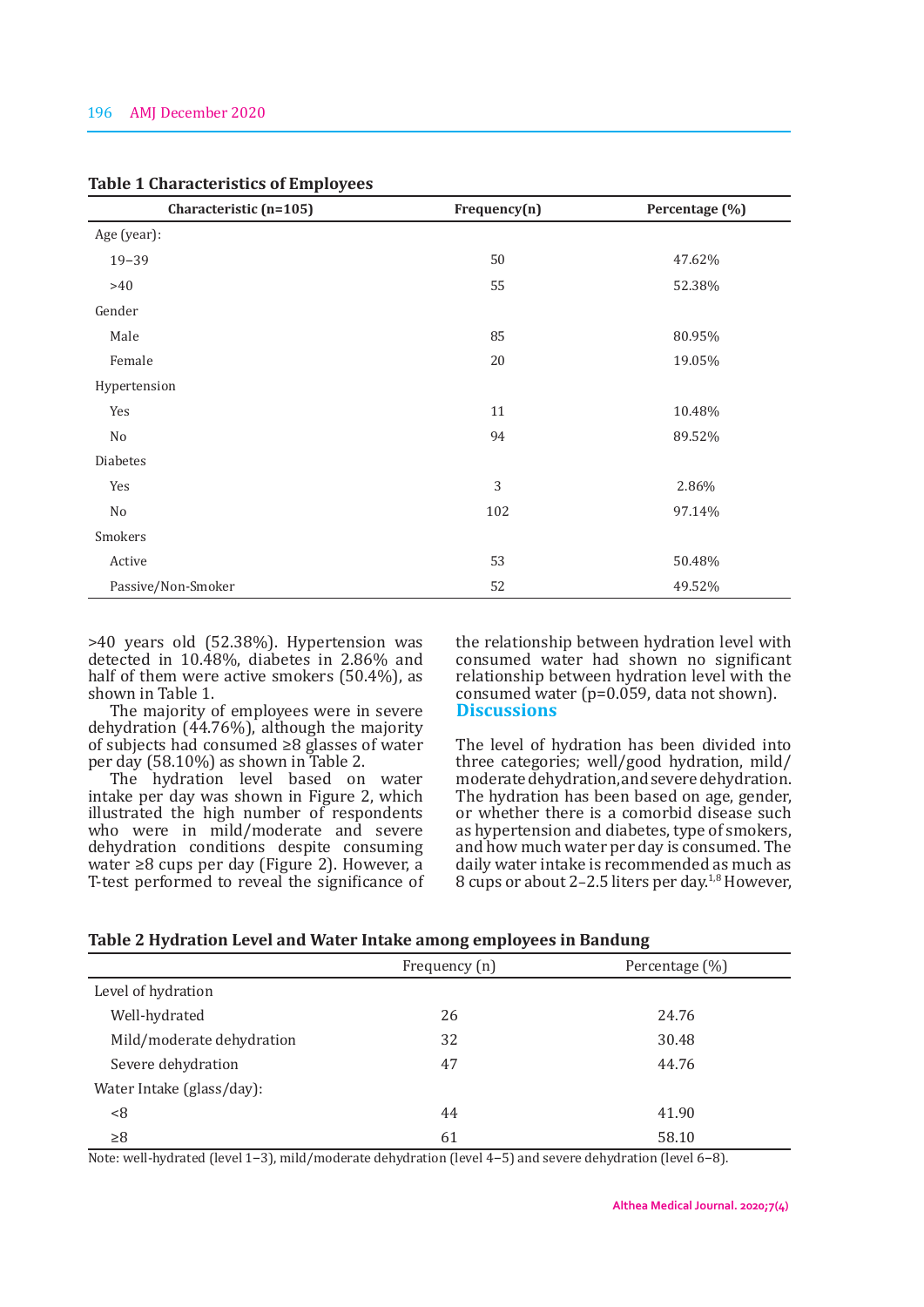| Characteristic (n=105) | Frequency(n) | Percentage (%) |  |
|------------------------|--------------|----------------|--|
| Age (year):            |              |                |  |
| $19 - 39$              | 50           | 47.62%         |  |
| $>40$                  | 55           | 52.38%         |  |
| Gender                 |              |                |  |
| Male                   | 85           | 80.95%         |  |
| Female                 | 20           | 19.05%         |  |
| Hypertension           |              |                |  |
| Yes                    | 11           | 10.48%         |  |
| No                     | 94           | 89.52%         |  |
| <b>Diabetes</b>        |              |                |  |
| Yes                    | 3            | 2.86%          |  |
| No                     | 102          | 97.14%         |  |
| Smokers                |              |                |  |
| Active                 | 53           | 50.48%         |  |
| Passive/Non-Smoker     | 52           | 49.52%         |  |

### **Table 1 Characteristics of Employees**

>40 years old (52.38%). Hypertension was detected in 10.48%, diabetes in 2.86% and half of them were active smokers (50.4%), as shown in Table 1.

The majority of employees were in severe dehydration (44.76%), although the majority of subjects had consumed ≥8 glasses of water per day (58.10%) as shown in Table 2.

The hydration level based on water intake per day was shown in Figure 2, which illustrated the high number of respondents who were in mild/moderate and severe dehydration conditions despite consuming water ≥8 cups per day (Figure 2). However, a T-test performed to reveal the significance of the relationship between hydration level with consumed water had shown no significant relationship between hydration level with the consumed water (p=0.059, data not shown). **Discussions**

The level of hydration has been divided into three categories; well/good hydration, mild/ moderate dehydration, and severe dehydration. The hydration has been based on age, gender, or whether there is a comorbid disease such as hypertension and diabetes, type of smokers, and how much water per day is consumed. The daily water intake is recommended as much as 8 cups or about 2–2.5 liters per day.1,8 However,

| Table 2 Hydration Level and Water Intake among employees in Bandung |  |  |
|---------------------------------------------------------------------|--|--|
|                                                                     |  |  |

|                           | Frequency (n) | Percentage (%) |
|---------------------------|---------------|----------------|
| Level of hydration        |               |                |
| Well-hydrated             | 26            | 24.76          |
| Mild/moderate dehydration | 32            | 30.48          |
| Severe dehydration        | 47            | 44.76          |
| Water Intake (glass/day): |               |                |
| < 8                       | 44            | 41.90          |
| $\geq 8$                  | 61            | 58.10          |

Note: well-hydrated (level 1–3), mild/moderate dehydration (level 4–5) and severe dehydration (level 6–8).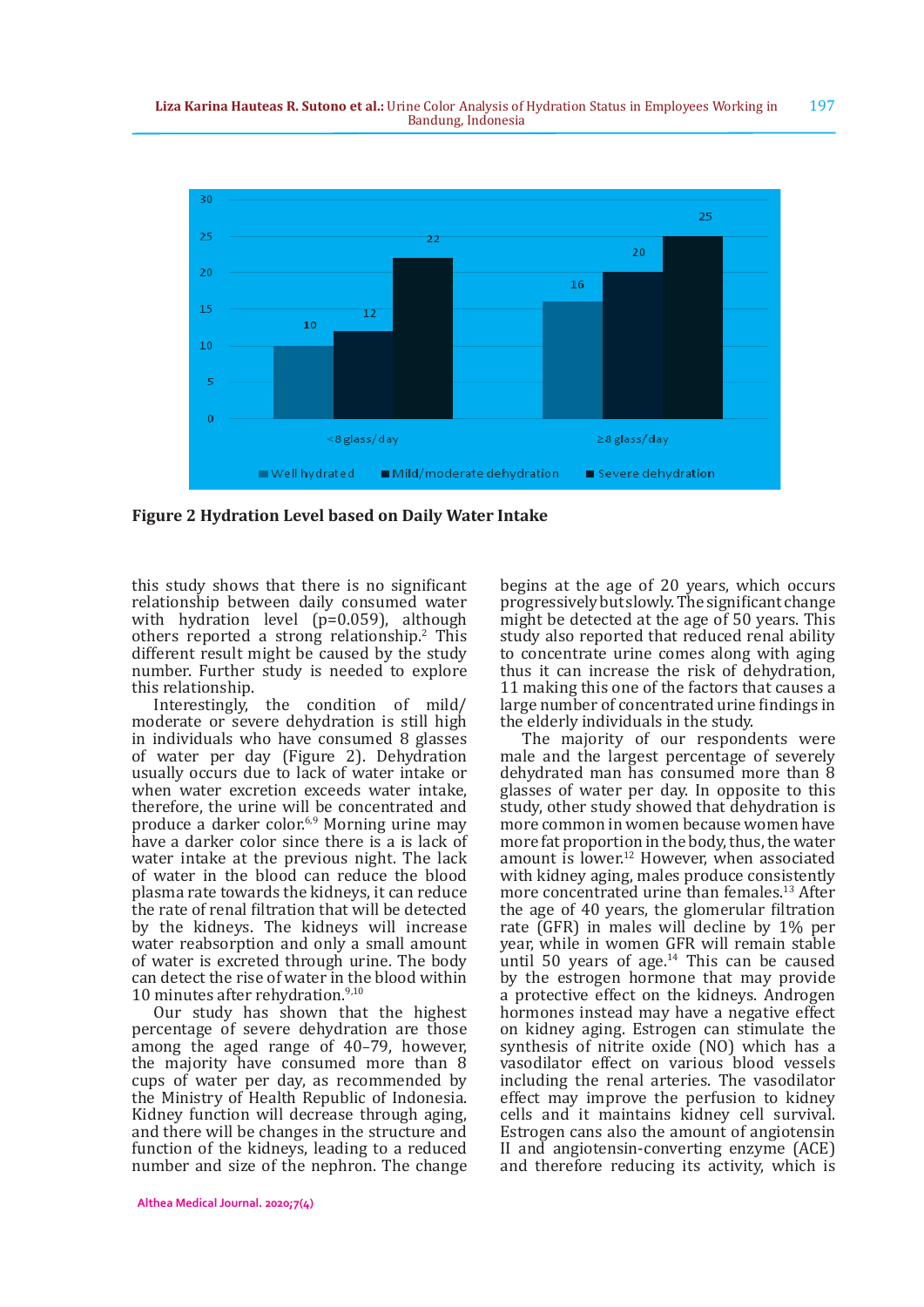

**Figure 2 Hydration Level based on Daily Water Intake**

this study shows that there is no significant relationship between daily consumed water with hydration level (p=0.059), although others reported a strong relationship.<sup>2</sup> This different result might be caused by the study number. Further study is needed to explore this relationship.

Interestingly, the condition of mild/ moderate or severe dehydration is still high in individuals who have consumed 8 glasses of water per day (Figure 2). Dehydration usually occurs due to lack of water intake or when water excretion exceeds water intake, therefore, the urine will be concentrated and produce a darker color.<sup>6,9</sup> Morning urine may have a darker color since there is a is lack of water intake at the previous night. The lack of water in the blood can reduce the blood plasma rate towards the kidneys, it can reduce the rate of renal filtration that will be detected by the kidneys. The kidneys will increase water reabsorption and only a small amount of water is excreted through urine. The body can detect the rise of water in the blood within 10 minutes after rehydration.<sup>9,10</sup>

Our study has shown that the highest percentage of severe dehydration are those among the aged range of 40–79, however, the majority have consumed more than 8 cups of water per day, as recommended by the Ministry of Health Republic of Indonesia. Kidney function will decrease through aging, and there will be changes in the structure and function of the kidneys, leading to a reduced number and size of the nephron. The change

begins at the age of 20 years, which occurs progressively but slowly. The significant change might be detected at the age of 50 years. This study also reported that reduced renal ability to concentrate urine comes along with aging thus it can increase the risk of dehydration, 11 making this one of the factors that causes a large number of concentrated urine findings in the elderly individuals in the study.

The majority of our respondents were male and the largest percentage of severely dehydrated man has consumed more than 8 glasses of water per day. In opposite to this study, other study showed that dehydration is more common in women because women have more fat proportion in the body, thus, the water amount is lower.12 However, when associated with kidney aging, males produce consistently more concentrated urine than females.13 After the age of 40 years, the glomerular filtration rate (GFR) in males will decline by 1% per year, while in women GFR will remain stable until 50 years of age. $14$  This can be caused by the estrogen hormone that may provide a protective effect on the kidneys. Androgen hormones instead may have a negative effect on kidney aging. Estrogen can stimulate the synthesis of nitrite oxide (NO) which has a vasodilator effect on various blood vessels including the renal arteries. The vasodilator effect may improve the perfusion to kidney cells and it maintains kidney cell survival. Estrogen cans also the amount of angiotensin II and angiotensin-converting enzyme (ACE) and therefore reducing its activity, which is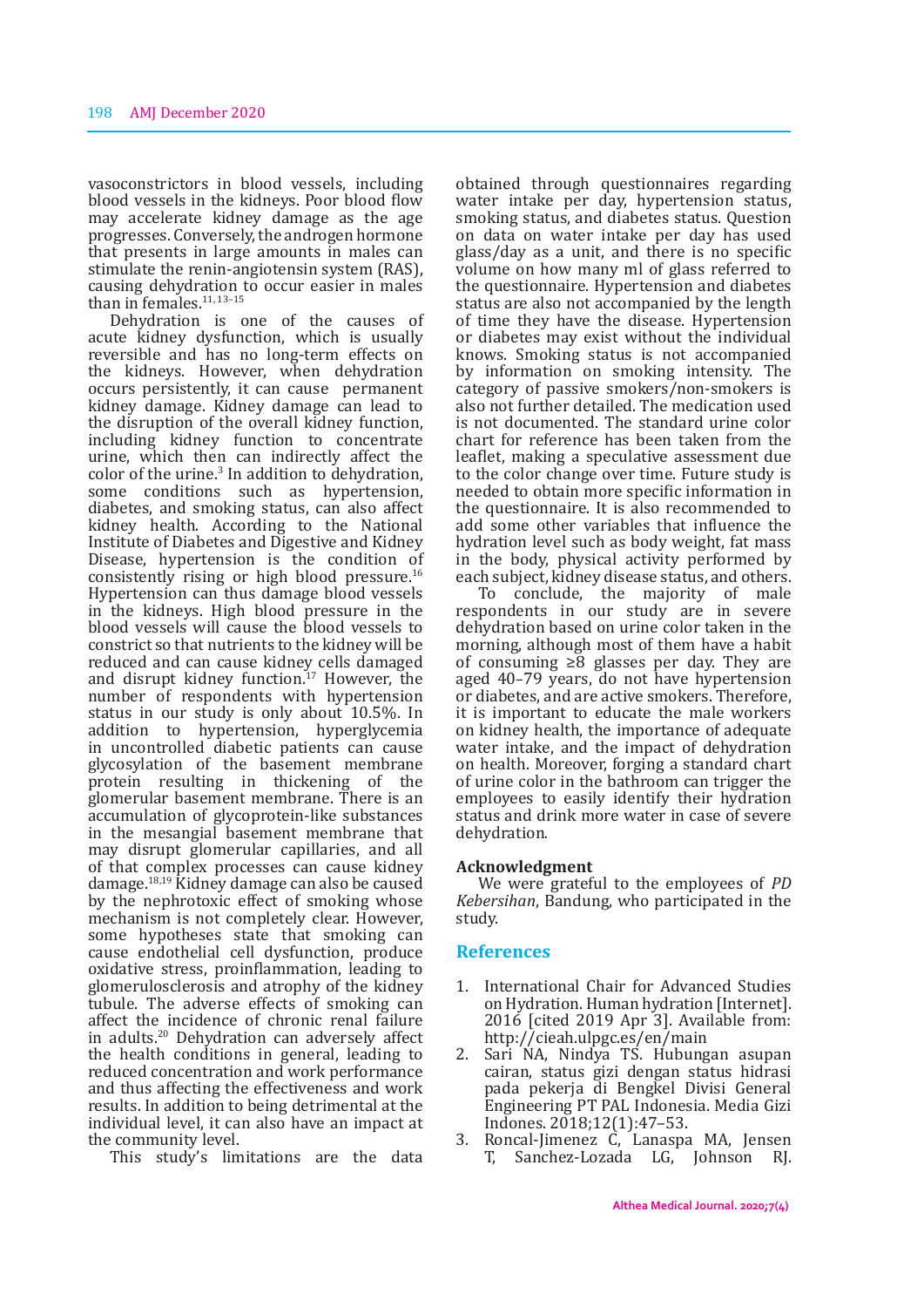vasoconstrictors in blood vessels, including blood vessels in the kidneys. Poor blood flow may accelerate kidney damage as the age progresses. Conversely, the androgen hormone that presents in large amounts in males can stimulate the renin-angiotensin system (RAS), causing dehydration to occur easier in males than in females.<sup>11, 13-15</sup>

Dehydration is one of the causes of acute kidney dysfunction, which is usually reversible and has no long-term effects on the kidneys. However, when dehydration occurs persistently, it can cause permanent kidney damage. Kidney damage can lead to the disruption of the overall kidney function, including kidney function to concentrate urine, which then can indirectly affect the color of the urine.<sup>3</sup> In addition to dehydration, some conditions such as hypertension, diabetes, and smoking status, can also affect kidney health. According to the National Institute of Diabetes and Digestive and Kidney Disease, hypertension is the condition of consistently rising or high blood pressure.<sup>16</sup> Hypertension can thus damage blood vessels in the kidneys. High blood pressure in the blood vessels will cause the blood vessels to constrict so that nutrients to the kidney will be reduced and can cause kidney cells damaged reduced and can cause kidney cells damaged and disrupt kidney function.<sup>17</sup> However, the number of respondents with hypertension status in our study is only about 10.5%. In addition to hypertension, hyperglycemia in uncontrolled diabetic patients can cause glycosylation of the basement membrane protein resulting in thickening of the glomerular basement membrane. There is an accumulation of glycoprotein-like substances in the mesangial basement membrane that may disrupt glomerular capillaries, and all of that complex processes can cause kidney damage.18,19 Kidney damage can also be caused by the nephrotoxic effect of smoking whose mechanism is not completely clear. However, some hypotheses state that smoking can cause endothelial cell dysfunction, produce oxidative stress, proinflammation, leading to glomerulosclerosis and atrophy of the kidney tubule. The adverse effects of smoking can affect the incidence of chronic renal failure in adults.20 Dehydration can adversely affect the health conditions in general, leading to reduced concentration and work performance and thus affecting the effectiveness and work results. In addition to being detrimental at the individual level, it can also have an impact at the community level.

This study's limitations are the data

obtained through questionnaires regarding water intake per day, hypertension status, smoking status, and diabetes status. Question on data on water intake per day has used glass/day as a unit, and there is no specific volume on how many ml of glass referred to the questionnaire. Hypertension and diabetes status are also not accompanied by the length of time they have the disease. Hypertension or diabetes may exist without the individual knows. Smoking status is not accompanied by information on smoking intensity. The category of passive smokers/non-smokers is also not further detailed. The medication used is not documented. The standard urine color chart for reference has been taken from the leaflet, making a speculative assessment due to the color change over time. Future study is needed to obtain more specific information in the questionnaire. It is also recommended to add some other variables that influence the hydration level such as body weight, fat mass in the body, physical activity performed by each subject, kidney disease status, and others.

To conclude, the majority of male respondents in our study are in severe dehydration based on urine color taken in the morning, although most of them have a habit of consuming ≥8 glasses per day. They are aged 40–79 years, do not have hypertension or diabetes, and are active smokers. Therefore, it is important to educate the male workers on kidney health, the importance of adequate water intake, and the impact of dehydration on health. Moreover, forging a standard chart of urine color in the bathroom can trigger the employees to easily identify their hydration status and drink more water in case of severe dehydration.

#### **Acknowledgment**

We were grateful to the employees of *PD Kebersihan*, Bandung, who participated in the study.

### **References**

- 1. International Chair for Advanced Studies on Hydration. Human hydration [Internet]. 2016 [cited 2019 Apr 3]. Available from: http://cieah.ulpgc.es/en/main
- 2. Sari NA, Nindya TS. Hubungan asupan cairan, status gizi dengan status hidrasi pada pekerja di Bengkel Divisi General Engineering PT PAL Indonesia. Media Gizi Indones. 2018;12(1):47–53.
- 3. Roncal-Jimenez C, Lanaspa MA, Jensen T, Sanchez-Lozada LG, Johnson RJ.